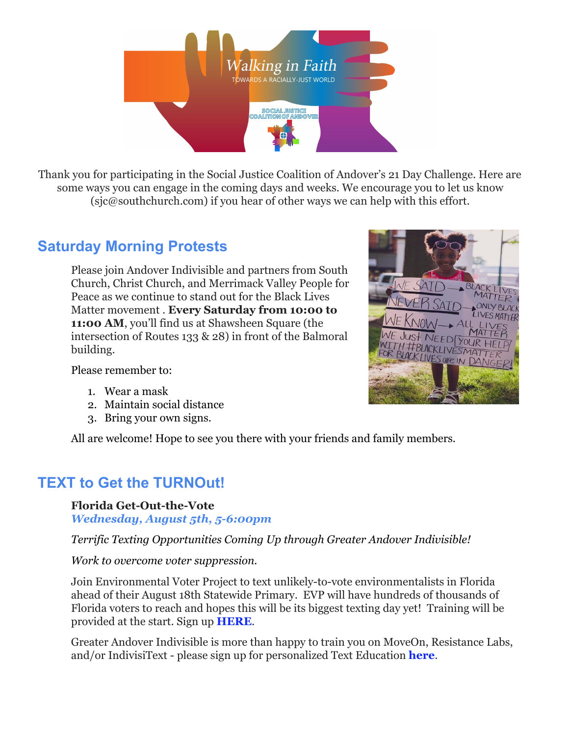

Thank you for participating in the Social Justice Coalition of Andover's 21 Day Challenge. Here are some ways you can engage in the coming days and weeks. We encourage you to let us know (sjc@southchurch.com) if you hear of other ways we can help with this effort.

# **Saturday Morning Protests**

Please join Andover Indivisible and partners from South Church, Christ Church, and Merrimack Valley People for Peace as we continue to stand out for the Black Lives Matter movement . **Every Saturday from 10:00 to 11:00 AM**, you'll find us at Shawsheen Square (the intersection of Routes 133 & 28) in front of the Balmoral building.



Please remember to:

- 1. Wear a mask
- 2. Maintain social distance
- 3. Bring your own signs.

All are welcome! Hope to see you there with your friends and family members.

## **TEXT to Get the TURNOut!**

### **Florida Get-Out-the-Vote**

*Wednesday, August 5th, 5-6:00pm*

*Terrific Texting Opportunities Coming Up through Greater Andover Indivisible!*

#### *Work to overcome voter suppression.*

Join Environmental Voter Project to text unlikely-to-vote environmentalists in Florida ahead of their August 18th Statewide Primary. EVP will have hundreds of thousands of Florida voters to reach and hopes this will be its biggest texting day yet! Training will be provided at the start. Sign up **[HERE](https://indivisibleandoverma.us16.list-manage.com/track/click?u=5bf1c06ea06f0ff374e404ea2&id=13a82bf5ce&e=7633effd91)**.

Greater Andover Indivisible is more than happy to train you on MoveOn, Resistance Labs, and/or IndivisiText - please sign up for personalized Text Education **[here](https://indivisibleandoverma.us16.list-manage.com/track/click?u=5bf1c06ea06f0ff374e404ea2&id=16ce5c4d33&e=7633effd91)**.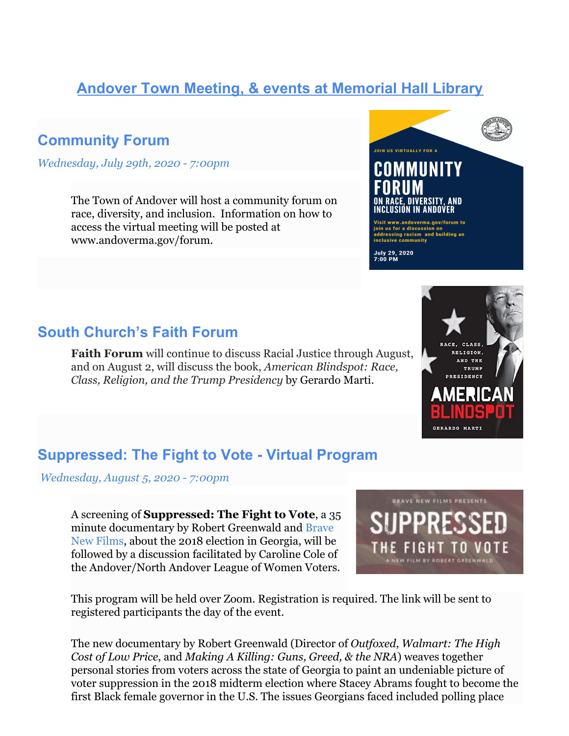# **Andover Town Meeting, & events at Memorial Hall Library**

### **Community Forum**

*[Wednesday, July 29th, 2020 - 7:00pm](https://www.eventkeeper.com/code/remind.cfm?curOrg=MHL&curEvtID=6495314&tfPopup=1)*

The Town of Andover will host a community forum on race, diversity, and inclusion. Information on how to access the virtual meeting will be posted at www.andoverma.gov/forum.

### **South Church's Faith Forum**

**Faith Forum** will continue to discuss Racial Justice through August, and on August 2, will discuss the book, *American Blindspot: Race, Class, Religion, and the Trump Presidency* by Gerardo Marti.

### **Suppressed: The Fight to Vote - Virtual Program**

 *[Wednesday, August 5, 2020 - 7:00pm](https://www.eventkeeper.com/code/remind.cfm?curOrg=MHL&curEvtID=6495314&tfPopup=1)*

A screening of **Suppressed: The Fight to Vote**, a 35 minute documentary by Robert Greenwald and [Brave](https://www.bravenewfilms.org/) [New Films,](https://www.bravenewfilms.org/) about the 2018 election in Georgia, will be followed by a discussion facilitated by Caroline Cole of the Andover/North Andover League of Women Voters.

This program will be held over Zoom. Registration is required. The link will be sent to registered participants the day of the event.

The new documentary by Robert Greenwald (Director of *Outfoxed*, *Walmart: The High Cost of Low Price*, and *Making A Killing: Guns, Greed, & the NRA*) weaves together personal stories from voters across the state of Georgia to paint an undeniable picture of voter suppression in the 2018 midterm election where Stacey Abrams fought to become the first Black female governor in the U.S. The issues Georgians faced included polling place







July 29, 2020<br>7:00 PM

Visit www.andoverma.gov/forum to<br>join us for a discussion on<br>addressing racism and building an<br>inclusive community